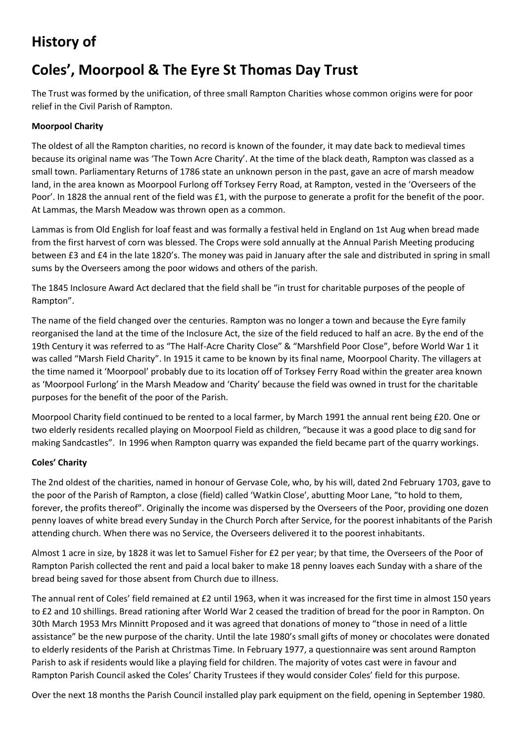## **History of**

# **Coles', Moorpool & The Eyre St Thomas Day Trust**

The Trust was formed by the unification, of three small Rampton Charities whose common origins were for poor relief in the Civil Parish of Rampton.

### **Moorpool Charity**

The oldest of all the Rampton charities, no record is known of the founder, it may date back to medieval times because its original name was 'The Town Acre Charity'. At the time of the black death, Rampton was classed as a small town. Parliamentary Returns of 1786 state an unknown person in the past, gave an acre of marsh meadow land, in the area known as Moorpool Furlong off Torksey Ferry Road, at Rampton, vested in the 'Overseers of the Poor'. In 1828 the annual rent of the field was £1, with the purpose to generate a profit for the benefit of the poor. At Lammas, the Marsh Meadow was thrown open as a common.

Lammas is from Old English for loaf feast and was formally a festival held in England on 1st Aug when bread made from the first harvest of corn was blessed. The Crops were sold annually at the Annual Parish Meeting producing between £3 and £4 in the late 1820's. The money was paid in January after the sale and distributed in spring in small sums by the Overseers among the poor widows and others of the parish.

The 1845 Inclosure Award Act declared that the field shall be "in trust for charitable purposes of the people of Rampton".

The name of the field changed over the centuries. Rampton was no longer a town and because the Eyre family reorganised the land at the time of the Inclosure Act, the size of the field reduced to half an acre. By the end of the 19th Century it was referred to as "The Half-Acre Charity Close" & "Marshfield Poor Close", before World War 1 it was called "Marsh Field Charity". In 1915 it came to be known by its final name, Moorpool Charity. The villagers at the time named it 'Moorpool' probably due to its location off of Torksey Ferry Road within the greater area known as 'Moorpool Furlong' in the Marsh Meadow and 'Charity' because the field was owned in trust for the charitable purposes for the benefit of the poor of the Parish.

Moorpool Charity field continued to be rented to a local farmer, by March 1991 the annual rent being £20. One or two elderly residents recalled playing on Moorpool Field as children, "because it was a good place to dig sand for making Sandcastles". In 1996 when Rampton quarry was expanded the field became part of the quarry workings.

### **Coles' Charity**

The 2nd oldest of the charities, named in honour of Gervase Cole, who, by his will, dated 2nd February 1703, gave to the poor of the Parish of Rampton, a close (field) called 'Watkin Close', abutting Moor Lane, "to hold to them, forever, the profits thereof". Originally the income was dispersed by the Overseers of the Poor, providing one dozen penny loaves of white bread every Sunday in the Church Porch after Service, for the poorest inhabitants of the Parish attending church. When there was no Service, the Overseers delivered it to the poorest inhabitants.

Almost 1 acre in size, by 1828 it was let to Samuel Fisher for £2 per year; by that time, the Overseers of the Poor of Rampton Parish collected the rent and paid a local baker to make 18 penny loaves each Sunday with a share of the bread being saved for those absent from Church due to illness.

The annual rent of Coles' field remained at £2 until 1963, when it was increased for the first time in almost 150 years to £2 and 10 shillings. Bread rationing after World War 2 ceased the tradition of bread for the poor in Rampton. On 30th March 1953 Mrs Minnitt Proposed and it was agreed that donations of money to "those in need of a little assistance" be the new purpose of the charity. Until the late 1980's small gifts of money or chocolates were donated to elderly residents of the Parish at Christmas Time. In February 1977, a questionnaire was sent around Rampton Parish to ask if residents would like a playing field for children. The majority of votes cast were in favour and Rampton Parish Council asked the Coles' Charity Trustees if they would consider Coles' field for this purpose.

Over the next 18 months the Parish Council installed play park equipment on the field, opening in September 1980.